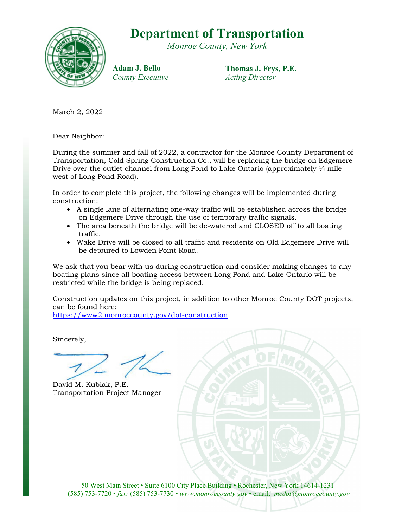## Department of Transportation

Monroe County, New York



Adam J. Bello County Executive Thomas J. Frys, P.E. Acting Director

March 2, 2022

Dear Neighbor:

During the summer and fall of 2022, a contractor for the Monroe County Department of Transportation, Cold Spring Construction Co., will be replacing the bridge on Edgemere Drive over the outlet channel from Long Pond to Lake Ontario (approximately  $\frac{1}{4}$  mile west of Long Pond Road).

In order to complete this project, the following changes will be implemented during construction:

- A single lane of alternating one-way traffic will be established across the bridge on Edgemere Drive through the use of temporary traffic signals.
- The area beneath the bridge will be de-watered and CLOSED off to all boating traffic.
- Wake Drive will be closed to all traffic and residents on Old Edgemere Drive will be detoured to Lowden Point Road.

We ask that you bear with us during construction and consider making changes to any boating plans since all boating access between Long Pond and Lake Ontario will be restricted while the bridge is being replaced.

Construction updates on this project, in addition to other Monroe County DOT projects, can be found here:

https://www2.monroecounty.gov/dot-construction

Sincerely,

David M. Kubiak, P.E. Transportation Project Manager

50 West Main Street • Suite 6100 City Place Building • Rochester, New York 14614-1231 (585) 753-7720 • fax: (585) 753-7730 • www.monroecounty.gov • email: mcdot@monroecounty.gov